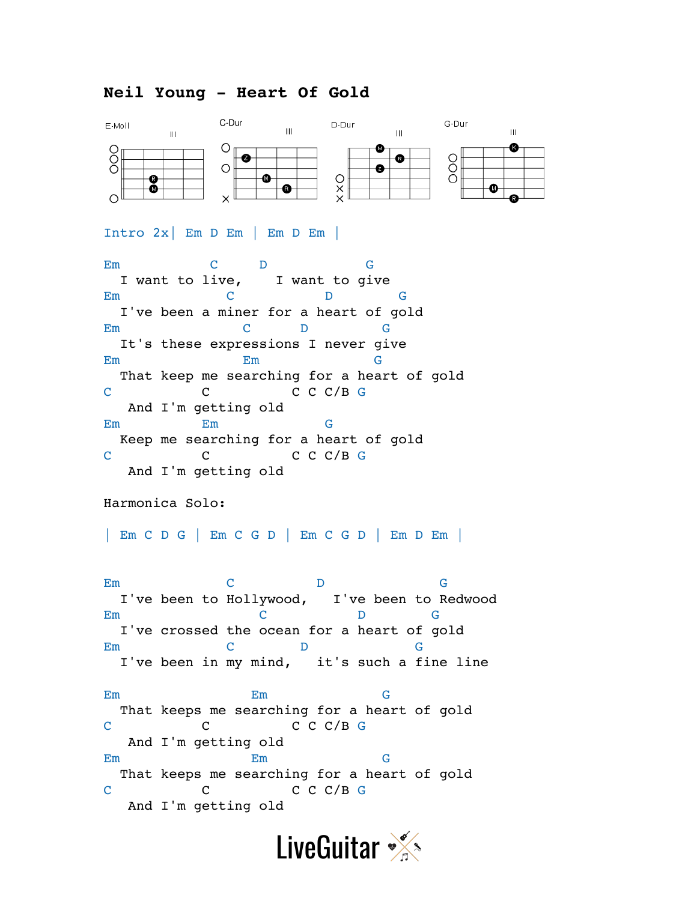## **Neil Young - Heart Of Gold**



## Intro 2x| Em D Em | Em D Em |

Em C D G I want to live, I want to give Em C D G I've been a miner for a heart of gold Em C D G It's these expressions I never give Em Em G That keep me searching for a heart of gold C C C C C/B G And I'm getting old Em Em G Keep me searching for a heart of gold C C C C C/B G And I'm getting old

Harmonica Solo:

| Em C D G | Em C G D | Em C G D | Em D Em |

Em C D G I've been to Hollywood, I've been to Redwood Em C D G I've crossed the ocean for a heart of gold Em C D G I've been in my mind, it's such a fine line

Em Em G That keeps me searching for a heart of gold C C C C C/B G And I'm getting old Em Em G That keeps me searching for a heart of gold C C C C C/B G And I'm getting old